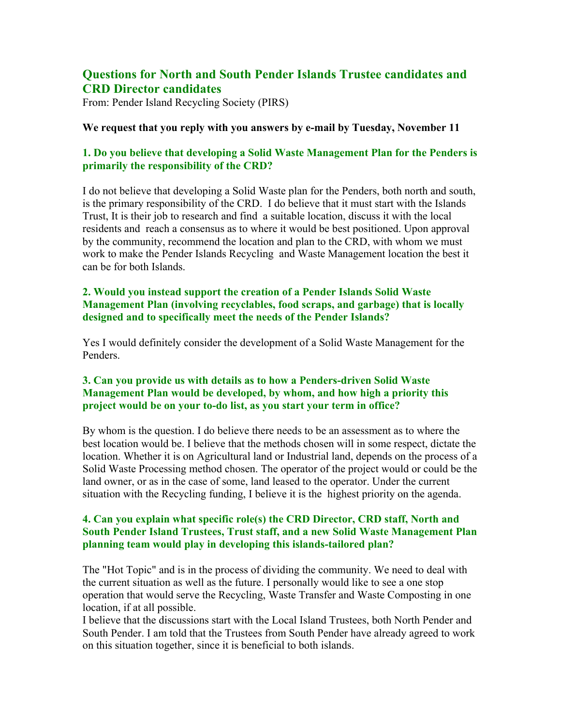# **Questions for North and South Pender Islands Trustee candidates and CRD Director candidates**

From: Pender Island Recycling Society (PIRS)

#### **We request that you reply with you answers by e-mail by Tuesday, November 11**

# **1. Do you believe that developing a Solid Waste Management Plan for the Penders is primarily the responsibility of the CRD?**

I do not believe that developing a Solid Waste plan for the Penders, both north and south, is the primary responsibility of the CRD. I do believe that it must start with the Islands Trust, It is their job to research and find a suitable location, discuss it with the local residents and reach a consensus as to where it would be best positioned. Upon approval by the community, recommend the location and plan to the CRD, with whom we must work to make the Pender Islands Recycling and Waste Management location the best it can be for both Islands.

# **2. Would you instead support the creation of a Pender Islands Solid Waste Management Plan (involving recyclables, food scraps, and garbage) that is locally designed and to specifically meet the needs of the Pender Islands?**

Yes I would definitely consider the development of a Solid Waste Management for the Penders.

# **3. Can you provide us with details as to how a Penders-driven Solid Waste Management Plan would be developed, by whom, and how high a priority this project would be on your to-do list, as you start your term in office?**

By whom is the question. I do believe there needs to be an assessment as to where the best location would be. I believe that the methods chosen will in some respect, dictate the location. Whether it is on Agricultural land or Industrial land, depends on the process of a Solid Waste Processing method chosen. The operator of the project would or could be the land owner, or as in the case of some, land leased to the operator. Under the current situation with the Recycling funding, I believe it is the highest priority on the agenda.

## **4. Can you explain what specific role(s) the CRD Director, CRD staff, North and South Pender Island Trustees, Trust staff, and a new Solid Waste Management Plan planning team would play in developing this islands-tailored plan?**

The "Hot Topic" and is in the process of dividing the community. We need to deal with the current situation as well as the future. I personally would like to see a one stop operation that would serve the Recycling, Waste Transfer and Waste Composting in one location, if at all possible.

I believe that the discussions start with the Local Island Trustees, both North Pender and South Pender. I am told that the Trustees from South Pender have already agreed to work on this situation together, since it is beneficial to both islands.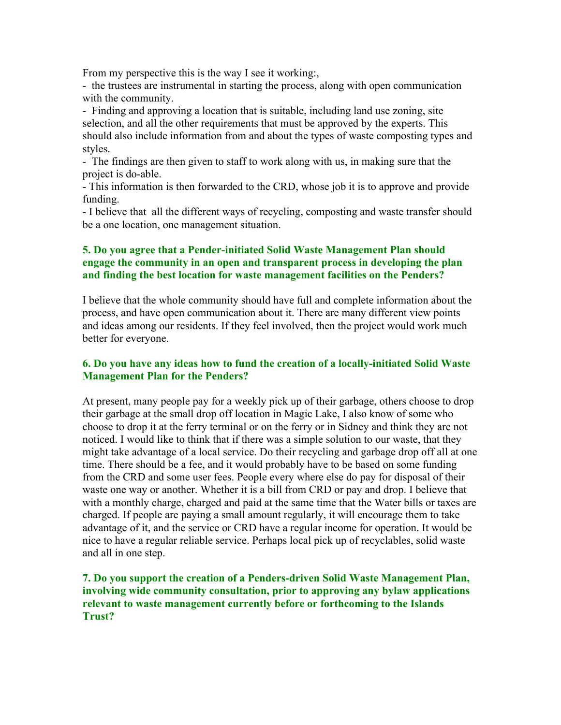From my perspective this is the way I see it working:

- the trustees are instrumental in starting the process, along with open communication with the community.

- Finding and approving a location that is suitable, including land use zoning, site selection, and all the other requirements that must be approved by the experts. This should also include information from and about the types of waste composting types and styles.

- The findings are then given to staff to work along with us, in making sure that the project is do-able.

- This information is then forwarded to the CRD, whose job it is to approve and provide funding.

- I believe that all the different ways of recycling, composting and waste transfer should be a one location, one management situation.

# **5. Do you agree that a Pender-initiated Solid Waste Management Plan should engage the community in an open and transparent process in developing the plan and finding the best location for waste management facilities on the Penders?**

I believe that the whole community should have full and complete information about the process, and have open communication about it. There are many different view points and ideas among our residents. If they feel involved, then the project would work much better for everyone.

# **6. Do you have any ideas how to fund the creation of a locally-initiated Solid Waste Management Plan for the Penders?**

At present, many people pay for a weekly pick up of their garbage, others choose to drop their garbage at the small drop off location in Magic Lake, I also know of some who choose to drop it at the ferry terminal or on the ferry or in Sidney and think they are not noticed. I would like to think that if there was a simple solution to our waste, that they might take advantage of a local service. Do their recycling and garbage drop off all at one time. There should be a fee, and it would probably have to be based on some funding from the CRD and some user fees. People every where else do pay for disposal of their waste one way or another. Whether it is a bill from CRD or pay and drop. I believe that with a monthly charge, charged and paid at the same time that the Water bills or taxes are charged. If people are paying a small amount regularly, it will encourage them to take advantage of it, and the service or CRD have a regular income for operation. It would be nice to have a regular reliable service. Perhaps local pick up of recyclables, solid waste and all in one step.

# **7. Do you support the creation of a Penders-driven Solid Waste Management Plan, involving wide community consultation, prior to approving any bylaw applications relevant to waste management currently before or forthcoming to the Islands Trust?**